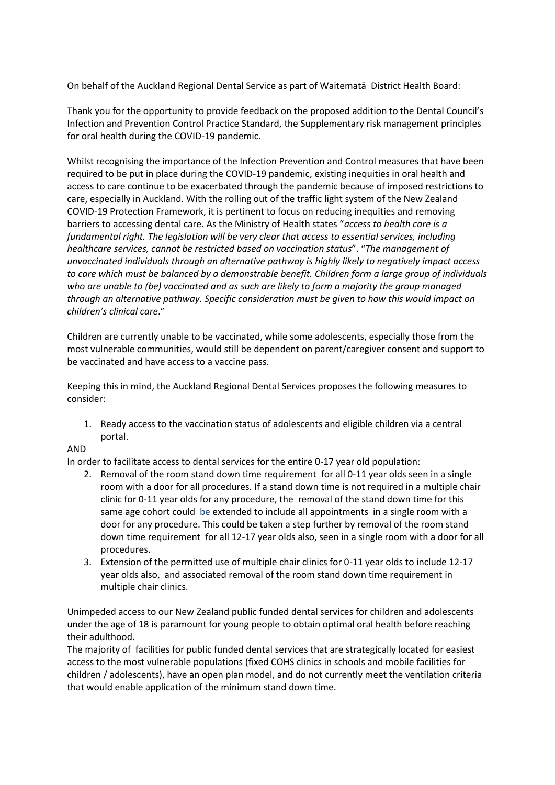On behalf of the Auckland Regional Dental Service as part of Waitematā District Health Board:

Thank you for the opportunity to provide feedback on the proposed addition to the Dental Council's Infection and Prevention Control Practice Standard, the Supplementary risk management principles for oral health during the COVID-19 pandemic.

Whilst recognising the importance of the Infection Prevention and Control measures that have been required to be put in place during the COVID-19 pandemic, existing inequities in oral health and access to care continue to be exacerbated through the pandemic because of imposed restrictions to care, especially in Auckland. With the rolling out of the traffic light system of the New Zealand COVID-19 Protection Framework, it is pertinent to focus on reducing inequities and removing barriers to accessing dental care. As the Ministry of Health states "*access to health care is a fundamental right. The legislation will be very clear that access to essential services, including healthcare services, cannot be restricted based on vaccination status*". "*The management of unvaccinated individuals through an alternative pathway is highly likely to negatively impact access to care which must be balanced by a demonstrable benefit. Children form a large group of individuals who are unable to (be) vaccinated and as such are likely to form a majority the group managed through an alternative pathway. Specific consideration must be given to how this would impact on children's clinical care*."

Children are currently unable to be vaccinated, while some adolescents, especially those from the most vulnerable communities, would still be dependent on parent/caregiver consent and support to be vaccinated and have access to a vaccine pass.

Keeping this in mind, the Auckland Regional Dental Services proposes the following measures to consider:

1. Ready access to the vaccination status of adolescents and eligible children via a central portal.

## AND

In order to facilitate access to dental services for the entire 0-17 year old population:

- 2. Removal of the room stand down time requirement for all 0-11 year olds seen in a single room with a door for all procedures. If a stand down time is not required in a multiple chair clinic for 0-11 year olds for any procedure, the removal of the stand down time for this same age cohort could be extended to include all appointments in a single room with a door for any procedure. This could be taken a step further by removal of the room stand down time requirement for all 12-17 year olds also, seen in a single room with a door for all procedures.
- 3. Extension of the permitted use of multiple chair clinics for 0-11 year olds to include 12-17 year olds also, and associated removal of the room stand down time requirement in multiple chair clinics.

Unimpeded access to our New Zealand public funded dental services for children and adolescents under the age of 18 is paramount for young people to obtain optimal oral health before reaching their adulthood.

The majority of facilities for public funded dental services that are strategically located for easiest access to the most vulnerable populations (fixed COHS clinics in schools and mobile facilities for children / adolescents), have an open plan model, and do not currently meet the ventilation criteria that would enable application of the minimum stand down time.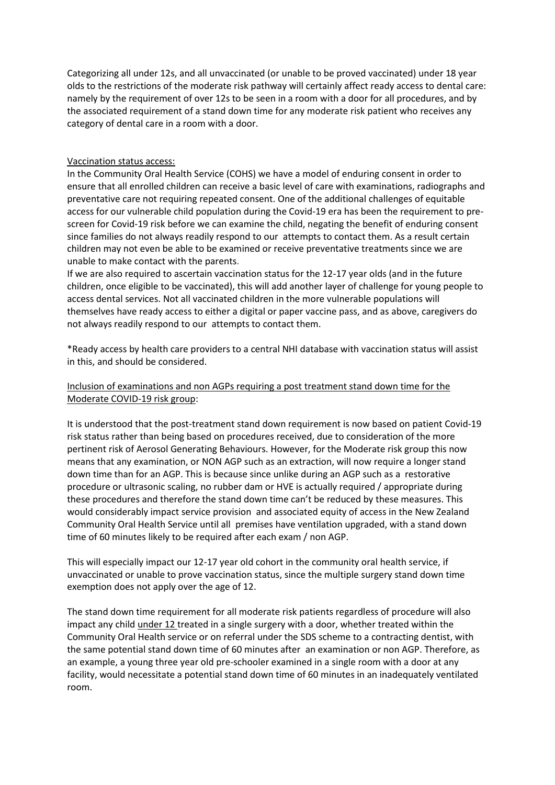Categorizing all under 12s, and all unvaccinated (or unable to be proved vaccinated) under 18 year olds to the restrictions of the moderate risk pathway will certainly affect ready access to dental care: namely by the requirement of over 12s to be seen in a room with a door for all procedures, and by the associated requirement of a stand down time for any moderate risk patient who receives any category of dental care in a room with a door.

### Vaccination status access:

In the Community Oral Health Service (COHS) we have a model of enduring consent in order to ensure that all enrolled children can receive a basic level of care with examinations, radiographs and preventative care not requiring repeated consent. One of the additional challenges of equitable access for our vulnerable child population during the Covid-19 era has been the requirement to prescreen for Covid-19 risk before we can examine the child, negating the benefit of enduring consent since families do not always readily respond to our attempts to contact them. As a result certain children may not even be able to be examined or receive preventative treatments since we are unable to make contact with the parents.

If we are also required to ascertain vaccination status for the 12-17 year olds (and in the future children, once eligible to be vaccinated), this will add another layer of challenge for young people to access dental services. Not all vaccinated children in the more vulnerable populations will themselves have ready access to either a digital or paper vaccine pass, and as above, caregivers do not always readily respond to our attempts to contact them.

\*Ready access by health care providers to a central NHI database with vaccination status will assist in this, and should be considered.

### Inclusion of examinations and non AGPs requiring a post treatment stand down time for the Moderate COVID-19 risk group:

It is understood that the post-treatment stand down requirement is now based on patient Covid-19 risk status rather than being based on procedures received, due to consideration of the more pertinent risk of Aerosol Generating Behaviours. However, for the Moderate risk group this now means that any examination, or NON AGP such as an extraction, will now require a longer stand down time than for an AGP. This is because since unlike during an AGP such as a restorative procedure or ultrasonic scaling, no rubber dam or HVE is actually required / appropriate during these procedures and therefore the stand down time can't be reduced by these measures. This would considerably impact service provision and associated equity of access in the New Zealand Community Oral Health Service until all premises have ventilation upgraded, with a stand down time of 60 minutes likely to be required after each exam / non AGP.

This will especially impact our 12-17 year old cohort in the community oral health service, if unvaccinated or unable to prove vaccination status, since the multiple surgery stand down time exemption does not apply over the age of 12.

The stand down time requirement for all moderate risk patients regardless of procedure will also impact any child under 12 treated in a single surgery with a door, whether treated within the Community Oral Health service or on referral under the SDS scheme to a contracting dentist, with the same potential stand down time of 60 minutes after an examination or non AGP. Therefore, as an example, a young three year old pre-schooler examined in a single room with a door at any facility, would necessitate a potential stand down time of 60 minutes in an inadequately ventilated room.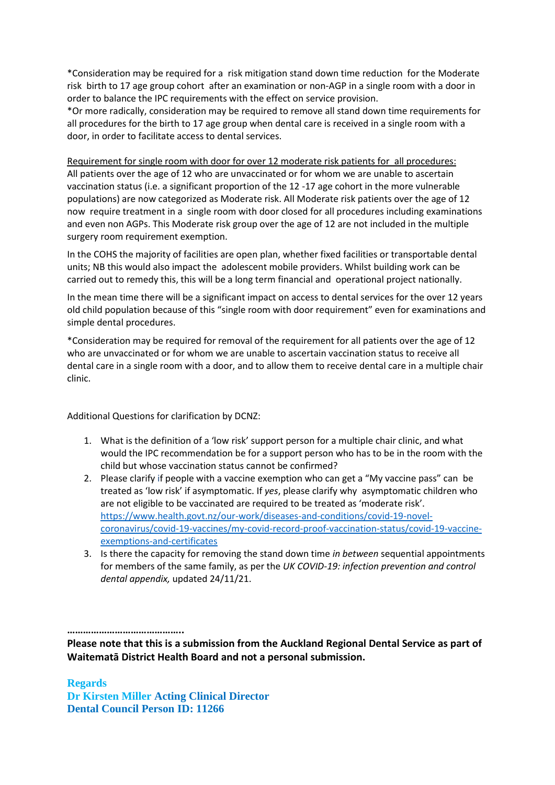\*Consideration may be required for a risk mitigation stand down time reduction for the Moderate risk birth to 17 age group cohort after an examination or non-AGP in a single room with a door in order to balance the IPC requirements with the effect on service provision.

\*Or more radically, consideration may be required to remove all stand down time requirements for all procedures for the birth to 17 age group when dental care is received in a single room with a door, in order to facilitate access to dental services.

Requirement for single room with door for over 12 moderate risk patients for all procedures: All patients over the age of 12 who are unvaccinated or for whom we are unable to ascertain vaccination status (i.e. a significant proportion of the 12 -17 age cohort in the more vulnerable populations) are now categorized as Moderate risk. All Moderate risk patients over the age of 12 now require treatment in a single room with door closed for all procedures including examinations and even non AGPs. This Moderate risk group over the age of 12 are not included in the multiple surgery room requirement exemption.

In the COHS the majority of facilities are open plan, whether fixed facilities or transportable dental units; NB this would also impact the adolescent mobile providers. Whilst building work can be carried out to remedy this, this will be a long term financial and operational project nationally.

In the mean time there will be a significant impact on access to dental services for the over 12 years old child population because of this "single room with door requirement" even for examinations and simple dental procedures.

\*Consideration may be required for removal of the requirement for all patients over the age of 12 who are unvaccinated or for whom we are unable to ascertain vaccination status to receive all dental care in a single room with a door, and to allow them to receive dental care in a multiple chair clinic.

Additional Questions for clarification by DCNZ:

- 1. What is the definition of a 'low risk' support person for a multiple chair clinic, and what would the IPC recommendation be for a support person who has to be in the room with the child but whose vaccination status cannot be confirmed?
- 2. Please clarify if people with a vaccine exemption who can get a "My vaccine pass" can be treated as 'low risk' if asymptomatic. If *yes*, please clarify why asymptomatic children who are not eligible to be vaccinated are required to be treated as 'moderate risk'. [https://www.health.govt.nz/our-work/diseases-and-conditions/covid-19-novel](https://scanmail.trustwave.com/?c=8934&d=7sCg4ZTIDmp5riJ_oiBmHKf9tx6qG4NpnJKCgVKGYA&u=https%3a%2f%2fwww%2ehealth%2egovt%2enz%2four-work%2fdiseases-and-conditions%2fcovid-19-novel-coronavirus%2fcovid-19-vaccines%2fmy-covid-record-proof-vaccination-status%2fcovid-19-vaccine-exemptions-and-certificates)[coronavirus/covid-19-vaccines/my-covid-record-proof-vaccination-status/covid-19-vaccine](https://scanmail.trustwave.com/?c=8934&d=7sCg4ZTIDmp5riJ_oiBmHKf9tx6qG4NpnJKCgVKGYA&u=https%3a%2f%2fwww%2ehealth%2egovt%2enz%2four-work%2fdiseases-and-conditions%2fcovid-19-novel-coronavirus%2fcovid-19-vaccines%2fmy-covid-record-proof-vaccination-status%2fcovid-19-vaccine-exemptions-and-certificates)[exemptions-and-certificates](https://scanmail.trustwave.com/?c=8934&d=7sCg4ZTIDmp5riJ_oiBmHKf9tx6qG4NpnJKCgVKGYA&u=https%3a%2f%2fwww%2ehealth%2egovt%2enz%2four-work%2fdiseases-and-conditions%2fcovid-19-novel-coronavirus%2fcovid-19-vaccines%2fmy-covid-record-proof-vaccination-status%2fcovid-19-vaccine-exemptions-and-certificates)
- 3. Is there the capacity for removing the stand down time *in between* sequential appointments for members of the same family, as per the *UK COVID-19: infection prevention and control dental appendix,* updated 24/11/21.

**……………………………………..**

**Please note that this is a submission from the Auckland Regional Dental Service as part of Waitematā District Health Board and not a personal submission.**

#### **Regards**

**Dr Kirsten Miller Acting Clinical Director Dental Council Person ID: 11266**